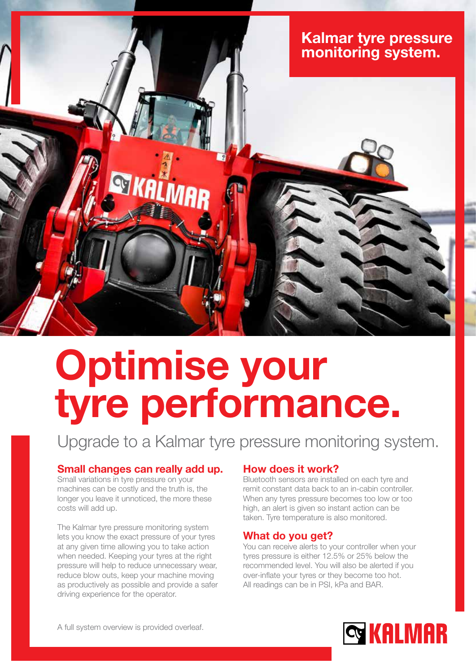

# Optimise your tyre performance.

Upgrade to a Kalmar tyre pressure monitoring system.

### Small changes can really add up.

Small variations in tyre pressure on your machines can be costly and the truth is, the longer you leave it unnoticed, the more these costs will add up.

The Kalmar tyre pressure monitoring system lets you know the exact pressure of your tyres at any given time allowing you to take action when needed. Keeping your tyres at the right pressure will help to reduce unnecessary wear, reduce blow outs, keep your machine moving as productively as possible and provide a safer driving experience for the operator.

#### How does it work?

Bluetooth sensors are installed on each tyre and remit constant data back to an in-cabin controller. When any tyres pressure becomes too low or too high, an alert is given so instant action can be taken. Tyre temperature is also monitored.

#### What do you get?

You can receive alerts to your controller when your tyres pressure is either 12.5% or 25% below the recommended level. You will also be alerted if you over-inflate your tyres or they become too hot. All readings can be in PSI, kPa and BAR.